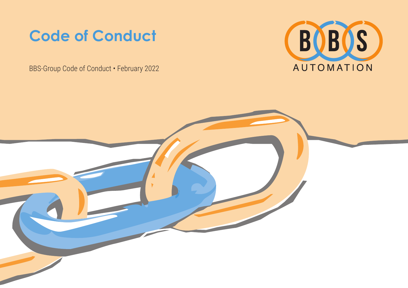## **Code of Conduct**

BBS-Group Code of Conduct • February 2022



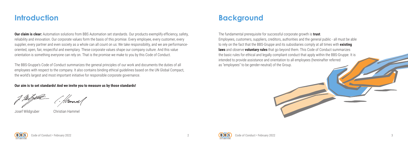



## **Introduction**

**Our claim is clear:** Automation solutions from BBS Automation set standards. Our products exemplify efficiency, safety, reliability and innovation. Our corporate values form the basis of this promise. Every employee, every customer, every supplier, every partner and even society as a whole can all count on us: We take responsibility, and we are performanceoriented, open, fair, respectful and exemplary. These corporate values shape our company culture. And this value orientation is something everyone can rely on. That is the promise we make to you by this Code of Conduct.

The BBS-Gruppe's Code of Conduct summarizes the general principles of our work and documents the duties of all employees with respect to the company. It also contains binding ethical guidelines based on the UN Global Compact, the world's largest and most important initiative for responsible corporate governance.

**Our aim is to set standards! And we invite you to measure us by those standards!**

Josef Wildgruber Christian Hammel

# **Background**

The fundamental prerequisite for successful corporate growth is **trust**. Employees, customers, suppliers, creditors, authorities and the general public - all must be able to rely on the fact that the BBS-Gruppe and its subsidiaries comply at all times with **existing laws** and observe **voluntary rules** that go beyond them. This Code of Conduct summarizes the basic rules for ethical and legally compliant conduct that apply within the BBS-Gruppe. It is intended to provide assistance and orientation to all employees (hereinafter referred as "employees" to be gender-neutral) of the Group.

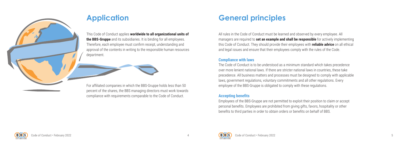





# **Application**

This Code of Conduct applies **worldwide to all organizational units of the BBS-Gruppe** and its subsidiaries. It is binding for all employees. Therefore, each employee must confirm receipt, understanding and approval of the contents in writing to the responsible human resources department.

For affiliated companies in which the BBS-Gruppe holds less than 50 percent of the shares, the BBS managing directors must work towards compliance with requirements comparable to the Code of Conduct.

# **General principles**

All rules in the Code of Conduct must be learned and observed by every employee. All managers are required to **set an example and shall be responsible** for actively implementing this Code of Conduct. They should provide their employees with **reliable advice** on all ethical and legal issues and ensure that their employees comply with the rules of the Code.

#### **Compliance with laws**

The Code of Conduct is to be understood as a minimum standard which takes precedence over more lenient national laws. If there are stricter national laws in countries, these take precedence. All business matters and processes must be designed to comply with applicable laws, government regulations, voluntary commitments and all other regulations. Every employee of the BBS-Gruppe is obligated to comply with these regulations.

#### **Accepting benefits**

Employees of the BBS-Gruppe are not permitted to exploit their position to claim or accept personal benefits. Employees are prohibited from giving gifts, favors, hospitality or other benefits to third parties in order to obtain orders or benefits on behalf of BBS.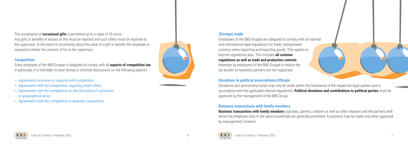

## **(Foreign) trade**

Employees of the BBS-Gruppe are obligated to comply with all national and international legal regulations for trade, transportand currency when importing and exporting goods. This applies to boycott regulations also. This includes **all customs regulations as well as trade and production controls**.

Attempts by employees of the BBS Gruppe to reduce the tax burden on business partners are not supported.

### **Donations to political associations/officials**

Donations and sponsorship funds may only be made within the framework of the respective legal system and in accordance with the applicable internal regulations. **Political donations and contributions to political parties** must be approved by the management of the BBS Group.

#### **Business transactions with family members**

**Business transactions with family members** (spouses, parents, children as well as other relatives and life partners with whom the employee lives in the same household) are generally prohibited. Exceptions may be made only when approved by management, however.



The acceptance of **occasional gifts** is permitted up to a value of 35 euros.

Any gifts or benefits in excess of this must be rejected and such offers must be reported to the supervisor. In the event of uncertainty about the value of a gift or benefit, the employee is required to obtain the consent of his or her supervisor.

#### **Competition**

Every employee of the BBS-Gruppe is obligated to comply with all **aspects of competition law**. In particular, it is forbidden to have formal or informal discussions on the following aspects:

- $\circ$  Agreements on prices or capacity with competitors
- $\circ$  Agreements with the competition regarding sham offers
- $\circ$  Agreements with the competition on the allocation of customers or geographical areas
- $\circ$  Agreements with the competition to abandon competition

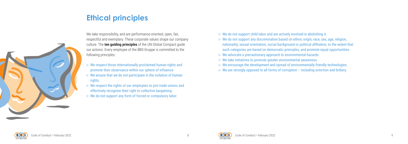



# **Ethical principles**



We take responsibility, and are performance-oriented, open, fair, respectful and exemplary. These corporate values shape our company culture. The **ten guiding principles** of the UN Global Compact guide our actions. Every employee of the BBS-Gruppe is committed to the following principles:

- $\circ$  We respect those internationally proclaimed human rights and promote their observance within our sphere of influence.
- $\circ$  We ensure that we do not participate in the violation of human rights.
- $\circ$  We respect the rights of our employees to join trade unions and effectively recognize their right to collective bargaining.
- $\circ$  We do not support any form of forced or compulsory labor.
- $\circ$  We do not support child labor and are actively involved in abolishing it.
- $\circ$  We do not support any discrimination based on ethnic origin, race, sex, age, religion, nationality, sexual orientation, social background or political affiliation, to the extent that such categories are based on democratic principles, and promote equal opportunities.
- We advocate a precautionary approach to environmental hazards.
- We take initiatives to promote greater environmental awareness.
- $\circ$  We encourage the development and spread of environmentally friendly technologies.
- $\circ$  We are strongly opposed to all forms of corruption including extortion and bribery.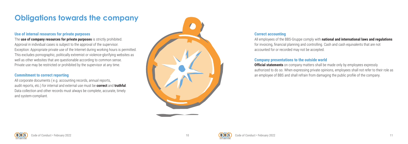



# **Obligations towards the company**

#### **Use of internal resources for private purposes**

The **use of company resources for private purposes** is strictly prohibited. Approval in individual cases is subject to the approval of the supervisor. Exception: Appropriate private use of the Internet during working hours is permitted. This excludes pornographic, politically extremist or violence-glorifying websites as well as other websites that are questionable according to common sense. Private use may be restricted or prohibited by the supervisor at any time.

#### **Commitment to correct reporting**

All corporate documents ( e.g. accounting records, annual reports, audit reports, etc.) for internal and external use must be **correct** and **truthful**. Data collection and other records must always be complete, accurate, timely and system-compliant.



#### **Correct accounting**

All employees of the BBS-Gruppe comply with **national and international laws and regulations** for invoicing, financial planning and controlling. Cash and cash equivalents that are not accounted for or recorded may not be accepted.

### **Company presentations to the outside world**

**Official statements** on company matters shall be made only by employees expressly authorized to do so. When expressing private opinions, employees shall not refer to their role as an employee of BBS and shall refrain from damaging the public profile of the company.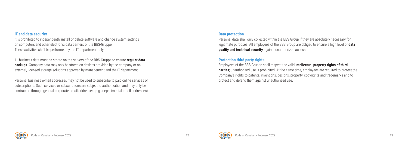



#### **IT and data security**

It is prohibited to independently install or delete software and change system settings on computers and other electronic data carriers of the BBS-Gruppe. These activities shall be performed by the IT department only.

Personal data shall only collected within the BBS Group if they are absolutely necessary for legitimate purposes. All employees of the BBS Group are obliged to ensure a high level of **data quality and technical security** against unauthorized access.

All business data must be stored on the servers of the BBS-Gruppe to ensure **regular data backups**. Company data may only be stored on devices provided by the company or on external, licensed storage solutions approved by management and the IT department.

Personal business e-mail addresses may not be used to subscribe to paid online services or subscriptions. Such services or subscriptions are subject to authorization and may only be contracted through general corporate email addresses (e.g., departmental email addresses).

#### **Data protection**

#### **Protection third party rights**

Employees of the BBS-Gruppe shall respect the valid **intellectual property rights of third parties**; unauthorized use is prohibited. At the same time, employees are required to protect the Company's rights to patents, inventions, designs, property, copyrights and trademarks and to protect and defend them against unauthorized use.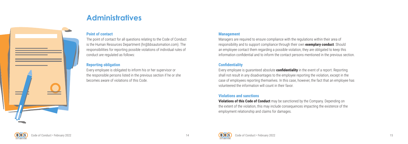

# **Administratives**



#### **Point of contact**

The point of contact for all questions relating to the Code of Conduct is the Human Resources Department (hr@bbsautomation.com). The responsibilities for reporting possible violations of individual rules of conduct are regulated as follows:

#### **Reporting obligation**

Every employee is obligated to inform his or her supervisor or the responsible persons listed in the previous section if he or she becomes aware of violations of this Code.

#### **Management**

Managers are required to ensure compliance with the regulations within their area of responsibility and to support compliance through their own **exemplary conduct**. Should an employee contact them regarding a possible violation, they are obligated to keep this information confidential and to inform the contact persons mentioned in the previous section.

#### **Confidentiality**

Every employee is guaranteed absolute **confidentiality** in the event of a report. Reporting shall not result in any disadvantages to the employee reporting the violation, except in the case of employees reporting themselves. In this case, however, the fact that an employee has volunteered the information will count in their favor.

#### **Violations and sanctions**

**Violations of this Code of Conduct** may be sanctioned by the Company. Depending on the extent of the violation, this may include consequences impacting the existence of the employment relationship and claims for damages.